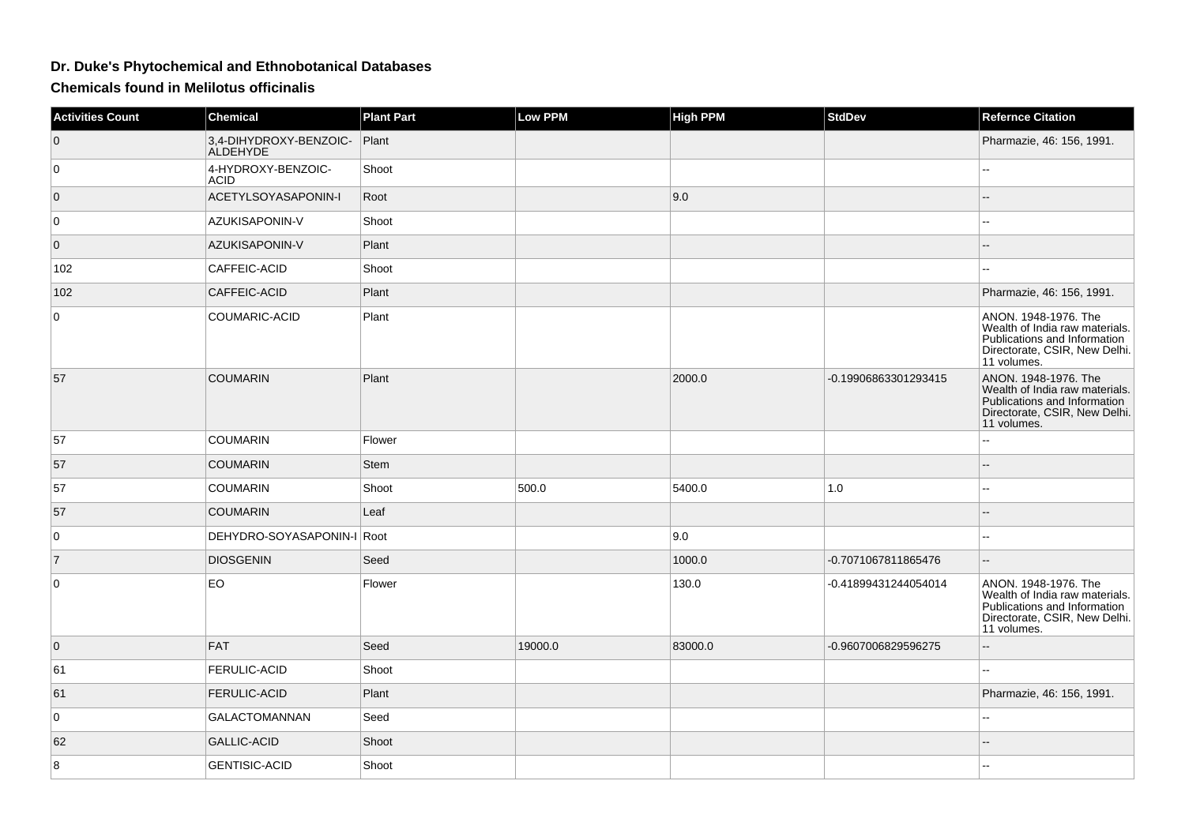## **Dr. Duke's Phytochemical and Ethnobotanical Databases**

**Chemicals found in Melilotus officinalis**

| <b>Activities Count</b> | <b>Chemical</b>                           | <b>Plant Part</b> | <b>Low PPM</b> | <b>High PPM</b> | StdDev               | <b>Refernce Citation</b>                                                                                                               |
|-------------------------|-------------------------------------------|-------------------|----------------|-----------------|----------------------|----------------------------------------------------------------------------------------------------------------------------------------|
| $\mathbf 0$             | 3,4-DIHYDROXY-BENZOIC-<br><b>ALDEHYDE</b> | Plant             |                |                 |                      | Pharmazie, 46: 156, 1991.                                                                                                              |
| $\overline{0}$          | 4-HYDROXY-BENZOIC-<br><b>ACID</b>         | Shoot             |                |                 |                      |                                                                                                                                        |
| $\overline{0}$          | ACETYLSOYASAPONIN-I                       | Root              |                | 9.0             |                      |                                                                                                                                        |
| 0                       | AZUKISAPONIN-V                            | Shoot             |                |                 |                      | $\sim$ $\sim$                                                                                                                          |
| $\overline{0}$          | AZUKISAPONIN-V                            | Plant             |                |                 |                      |                                                                                                                                        |
| 102                     | CAFFEIC-ACID                              | Shoot             |                |                 |                      | $\overline{a}$                                                                                                                         |
| 102                     | CAFFEIC-ACID                              | Plant             |                |                 |                      | Pharmazie, 46: 156, 1991.                                                                                                              |
| 0                       | COUMARIC-ACID                             | Plant             |                |                 |                      | ANON. 1948-1976. The<br>Wealth of India raw materials.<br>Publications and Information<br>Directorate, CSIR, New Delhi.<br>11 volumes. |
| 57                      | <b>COUMARIN</b>                           | Plant             |                | 2000.0          | -0.19906863301293415 | ANON. 1948-1976. The<br>Wealth of India raw materials.<br>Publications and Information<br>Directorate, CSIR, New Delhi.<br>11 volumes. |
| 57                      | <b>COUMARIN</b>                           | Flower            |                |                 |                      | Ξ.                                                                                                                                     |
| 57                      | <b>COUMARIN</b>                           | Stem              |                |                 |                      | $-$                                                                                                                                    |
| 57                      | <b>COUMARIN</b>                           | Shoot             | 500.0          | 5400.0          | 1.0                  | $\overline{\phantom{a}}$                                                                                                               |
| 57                      | <b>COUMARIN</b>                           | Leaf              |                |                 |                      | $\sim$                                                                                                                                 |
| $\overline{0}$          | DEHYDRO-SOYASAPONIN-I Root                |                   |                | 9.0             |                      | $\mathbf{u}$                                                                                                                           |
| $\overline{7}$          | <b>DIOSGENIN</b>                          | Seed              |                | 1000.0          | -0.7071067811865476  | $\mathord{\hspace{1pt}\text{--}\hspace{1pt}}$                                                                                          |
| $\overline{0}$          | <b>EO</b>                                 | Flower            |                | 130.0           | -0.41899431244054014 | ANON. 1948-1976. The<br>Wealth of India raw materials.<br>Publications and Information<br>Directorate, CSIR, New Delhi.<br>11 volumes. |
| $\overline{0}$          | <b>FAT</b>                                | Seed              | 19000.0        | 83000.0         | -0.9607006829596275  | $\overline{a}$                                                                                                                         |
| 61                      | <b>FERULIC-ACID</b>                       | Shoot             |                |                 |                      | 44                                                                                                                                     |
| 61                      | <b>FERULIC-ACID</b>                       | Plant             |                |                 |                      | Pharmazie, 46: 156, 1991.                                                                                                              |
| $\overline{0}$          | <b>GALACTOMANNAN</b>                      | Seed              |                |                 |                      | $-$                                                                                                                                    |
| 62                      | <b>GALLIC-ACID</b>                        | Shoot             |                |                 |                      |                                                                                                                                        |
| 8                       | <b>GENTISIC-ACID</b>                      | Shoot             |                |                 |                      | $\sim$                                                                                                                                 |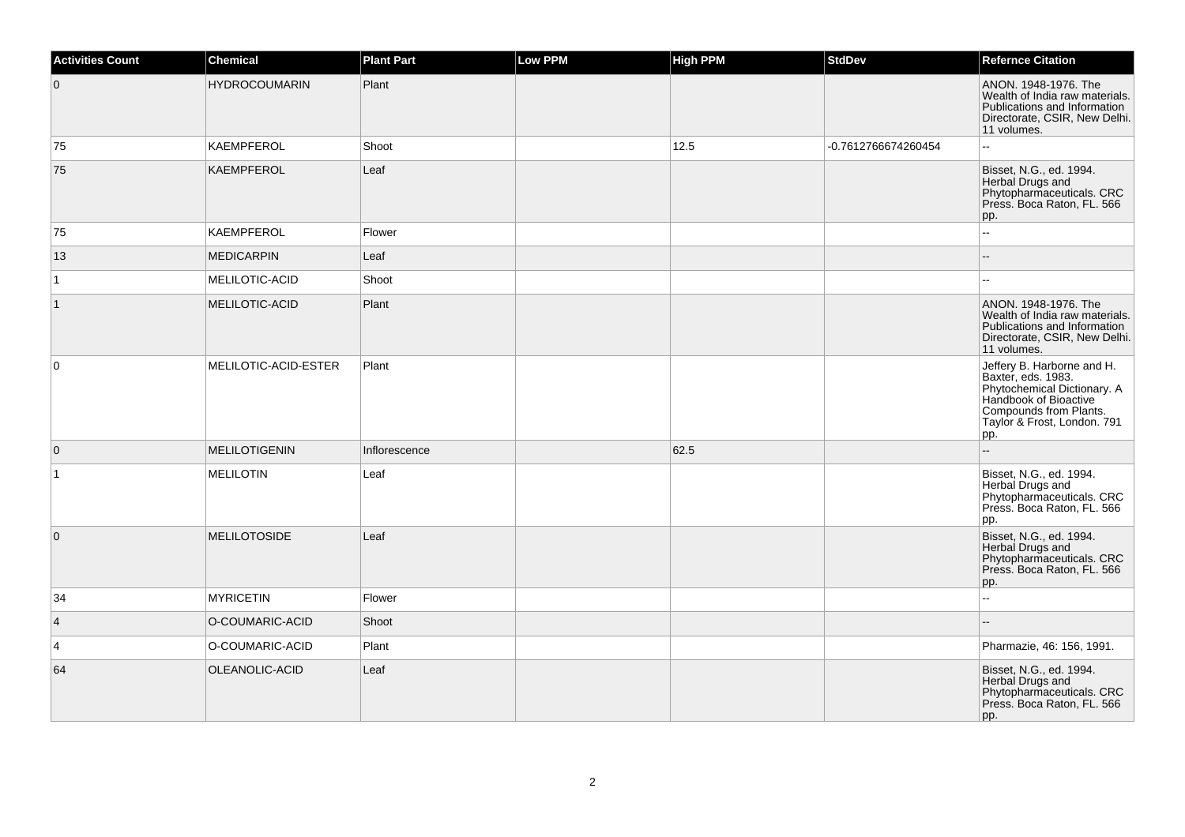| <b>Activities Count</b> | Chemical             | <b>Plant Part</b> | Low PPM | <b>High PPM</b> | <b>StdDev</b>       | <b>Refernce Citation</b>                                                                                                                                                 |
|-------------------------|----------------------|-------------------|---------|-----------------|---------------------|--------------------------------------------------------------------------------------------------------------------------------------------------------------------------|
| $\overline{0}$          | <b>HYDROCOUMARIN</b> | Plant             |         |                 |                     | ANON. 1948-1976. The<br>Wealth of India raw materials.<br>Publications and Information<br>Directorate, CSIR, New Delhi.<br>11 volumes.                                   |
| 75                      | <b>KAEMPFEROL</b>    | Shoot             |         | 12.5            | -0.7612766674260454 | ۵۵                                                                                                                                                                       |
| 75                      | <b>KAEMPFEROL</b>    | Leaf              |         |                 |                     | Bisset, N.G., ed. 1994.<br>Herbal Drugs and<br>Phytopharmaceuticals. CRC<br>Press. Boca Raton, FL. 566<br>pp.                                                            |
| 75                      | <b>KAEMPFEROL</b>    | Flower            |         |                 |                     | ۵۵                                                                                                                                                                       |
| 13                      | <b>MEDICARPIN</b>    | Leaf              |         |                 |                     |                                                                                                                                                                          |
| $\vert$ 1               | MELILOTIC-ACID       | Shoot             |         |                 |                     |                                                                                                                                                                          |
| $\mathbf{1}$            | MELILOTIC-ACID       | Plant             |         |                 |                     | ANON. 1948-1976. The<br>Wealth of India raw materials.<br>Publications and Information<br>Directorate, CSIR, New Delhi.<br>11 volumes.                                   |
| 0                       | MELILOTIC-ACID-ESTER | Plant             |         |                 |                     | Jeffery B. Harborne and H.<br>Baxter, eds. 1983.<br>Phytochemical Dictionary. A<br>Handbook of Bioactive<br>Compounds from Plants.<br>Taylor & Frost, London. 791<br>pp. |
| $\mathbf 0$             | <b>MELILOTIGENIN</b> | Inflorescence     |         | 62.5            |                     |                                                                                                                                                                          |
| $\mathbf{1}$            | <b>MELILOTIN</b>     | Leaf              |         |                 |                     | Bisset, N.G., ed. 1994.<br>Herbal Drugs and<br>Phytopharmaceuticals. CRC<br>Press. Boca Raton, FL. 566<br>pp.                                                            |
| $\mathbf{0}$            | <b>MELILOTOSIDE</b>  | Leaf              |         |                 |                     | Bisset, N.G., ed. 1994.<br>Herbal Drugs and<br>Phytopharmaceuticals. CRC<br>Press. Boca Raton, FL. 566<br>pp.                                                            |
| 34                      | <b>MYRICETIN</b>     | Flower            |         |                 |                     | Ξ.                                                                                                                                                                       |
| $\overline{4}$          | O-COUMARIC-ACID      | Shoot             |         |                 |                     |                                                                                                                                                                          |
| 4                       | O-COUMARIC-ACID      | Plant             |         |                 |                     | Pharmazie, 46: 156, 1991.                                                                                                                                                |
| 64                      | OLEANOLIC-ACID       | Leaf              |         |                 |                     | Bisset, N.G., ed. 1994.<br>Herbal Drugs and<br>Phytopharmaceuticals. CRC<br>Press. Boca Raton, FL. 566<br>pp.                                                            |